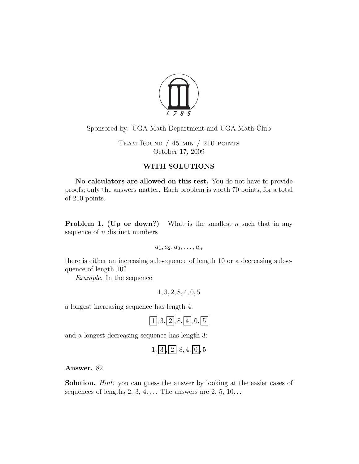

Sponsored by: UGA Math Department and UGA Math Club

Team Round / 45 min / 210 points October 17, 2009

# WITH SOLUTIONS

No calculators are allowed on this test. You do not have to provide proofs; only the answers matter. Each problem is worth 70 points, for a total of 210 points.

**Problem 1.** (Up or down?) What is the smallest n such that in any sequence of  $n$  distinct numbers

 $a_1, a_2, a_3, \ldots, a_n$ 

there is either an increasing subsequence of length 10 or a decreasing subsequence of length 10?

Example. In the sequence

1, 3, 2, 8, 4, 0, 5

a longest increasing sequence has length 4:

 $\boxed{1, 3, \boxed{2}, 8, \boxed{4}, 0, \boxed{5}}$ 

and a longest decreasing sequence has length 3:

$$
1, \boxed{3}, \boxed{2}, 8, 4, \boxed{0}, 5
$$

Answer. 82

Solution. *Hint:* you can guess the answer by looking at the easier cases of sequences of lengths  $2, 3, 4, \ldots$  The answers are  $2, 5, 10, \ldots$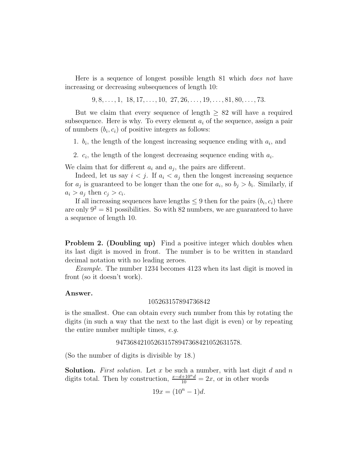Here is a sequence of longest possible length 81 which *does not* have increasing or decreasing subsequences of length 10:

 $9, 8, \ldots, 1, 18, 17, \ldots, 10, 27, 26, \ldots, 19, \ldots, 81, 80, \ldots, 73.$ 

But we claim that every sequence of length  $\geq 82$  will have a required subsequence. Here is why. To every element  $a_i$  of the sequence, assign a pair of numbers  $(b_i, c_i)$  of positive integers as follows:

1.  $b_i$ , the length of the longest increasing sequence ending with  $a_i$ , and

2.  $c_i$ , the length of the longest decreasing sequence ending with  $a_i$ .

We claim that for different  $a_i$  and  $a_j$ , the pairs are different.

Indeed, let us say  $i < j$ . If  $a_i < a_j$  then the longest increasing sequence for  $a_j$  is guaranteed to be longer than the one for  $a_i$ , so  $b_j > b_i$ . Similarly, if  $a_i > a_j$  then  $c_j > c_i$ .

If all increasing sequences have lengths  $\leq 9$  then for the pairs  $(b_i, c_i)$  there are only  $9^2 = 81$  possibilities. So with 82 numbers, we are guaranteed to have a sequence of length 10.

**Problem 2. (Doubling up)** Find a positive integer which doubles when its last digit is moved in front. The number is to be written in standard decimal notation with no leading zeroes.

Example. The number 1234 becomes 4123 when its last digit is moved in front (so it doesn't work).

#### Answer.

#### 105263157894736842

is the smallest. One can obtain every such number from this by rotating the digits (in such a way that the next to the last digit is even) or by repeating the entire number multiple times, e.g.

### 947368421052631578947368421052631578.

(So the number of digits is divisible by 18.)

**Solution.** First solution. Let x be such a number, with last digit  $d$  and  $n$ digits total. Then by construction,  $\frac{x-d+10^{n}d}{10} = 2x$ , or in other words

$$
19x = (10^n - 1)d.
$$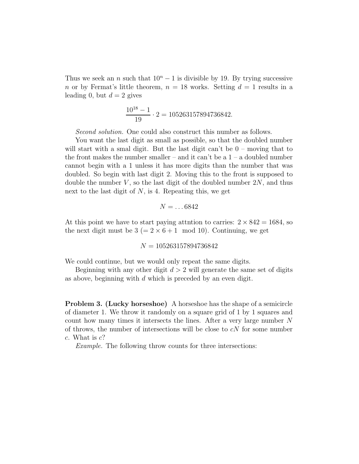Thus we seek an n such that  $10<sup>n</sup> - 1$  is divisible by 19. By trying successive n or by Fermat's little theorem,  $n = 18$  works. Setting  $d = 1$  results in a leading 0, but  $d = 2$  gives

$$
\frac{10^{18} - 1}{19} \cdot 2 = 105263157894736842.
$$

Second solution. One could also construct this number as follows.

You want the last digit as small as possible, so that the doubled number will start with a smal digit. But the last digit can't be  $0$  – moving that to the front makes the number smaller – and it can't be a  $1 - a$  doubled number cannot begin with a 1 unless it has more digits than the number that was doubled. So begin with last digit 2. Moving this to the front is supposed to double the number  $V$ , so the last digit of the doubled number  $2N$ , and thus next to the last digit of  $N$ , is 4. Repeating this, we get

$$
N=\ldots6842
$$

At this point we have to start paying attntion to carries:  $2 \times 842 = 1684$ , so the next digit must be  $3 (= 2 \times 6 + 1 \mod 10)$ . Continuing, we get

 $N = 105263157894736842$ 

We could continue, but we would only repeat the same digits.

Beginning with any other digit  $d > 2$  will generate the same set of digits as above, beginning with d which is preceded by an even digit.

Problem 3. (Lucky horseshoe) A horseshoe has the shape of a semicircle of diameter 1. We throw it randomly on a square grid of 1 by 1 squares and count how many times it intersects the lines. After a very large number  $N$ of throws, the number of intersections will be close to  $cN$  for some number c. What is  $c$ ?

Example. The following throw counts for three intersections: